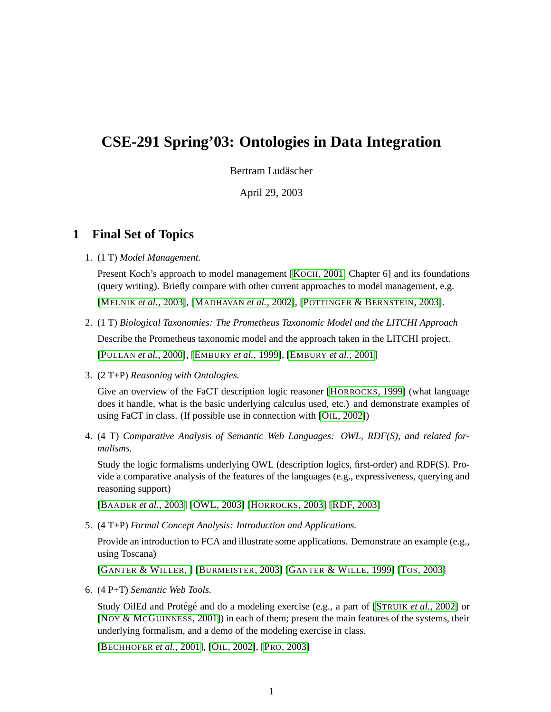# **CSE-291 Spring'03: Ontologies in Data Integration**

Bertram Ludäscher

April 29, 2003

## **1 Final Set of Topics**

1. (1 T) *Model Management.*

Present Koch's approach to model management [KOCH[, 2001,](#page-5-0) Chapter 6] and its foundations (query writing). Briefly compare with other current approaches to model management, e.g. [MELNIK *et al.*[, 2003\]](#page-5-1), [M[ADHAVAN](#page-5-2) *et al.*, 2002], [P[OTTINGER](#page-6-0) & BERNSTEIN, 2003].

- 2. (1 T) *Biological Taxonomies: The Prometheus Taxonomic Model and the LITCHI Approach* Describe the Prometheus taxonomic model and the approach taken in the LITCHI project. [PULLAN *et al.*[, 2000\]](#page-6-1), [EMBURY *et al.*[, 1999\]](#page-3-0), [EMBURY *et al.*[, 2001\]](#page-3-1)
- 3. (2 T+P) *Reasoning with Ontologies.*

Give an overview of the FaCT description logic reasoner [H[ORROCKS](#page-4-0), 1999] (what language does it handle, what is the basic underlying calculus used, etc.) and demonstrate examples of using FaCT in class. (If possible use in connection with [OIL[, 2002\]](#page-5-3))

4. (4 T) *Comparative Analysis of Semantic Web Languages: OWL, RDF(S), and related formalisms.*

Study the logic formalisms underlying OWL (description logics, first-order) and RDF(S). Provide a comparative analysis of the features of the languages (e.g., expressiveness, querying and reasoning support)

[BAADER *et al.*[, 2003\]](#page-2-0) [\[OWL, 2003\]](#page-5-4) [H[ORROCKS](#page-4-1), 2003] [\[RDF, 2003\]](#page-6-2)

5. (4 T+P) *Formal Concept Analysis: Introduction and Applications.*

Provide an introduction to FCA and illustrate some applications. Demonstrate an example (e.g., using Toscana)

[G[ANTER](#page-4-2) & WILLER, ] [B[URMEISTER](#page-3-2), 2003] [GANTER & WILLE[, 1999\]](#page-4-3) [TOS[, 2003\]](#page-7-0)

6. (4 P+T) *Semantic Web Tools.*

Study OilEd and Protégé and do a modeling exercise (e.g., a part of [STRUIK *et al.*[, 2002\]](#page-6-3) or [NOY & MCG[UINNESS](#page-5-5), 2001]) in each of them; present the main features of the systems, their underlying formalism, and a demo of the modeling exercise in class.

[B[ECHHOFER](#page-2-1) *et al.*, 2001], [OIL[, 2002\]](#page-5-3), [PRO[, 2003\]](#page-6-4)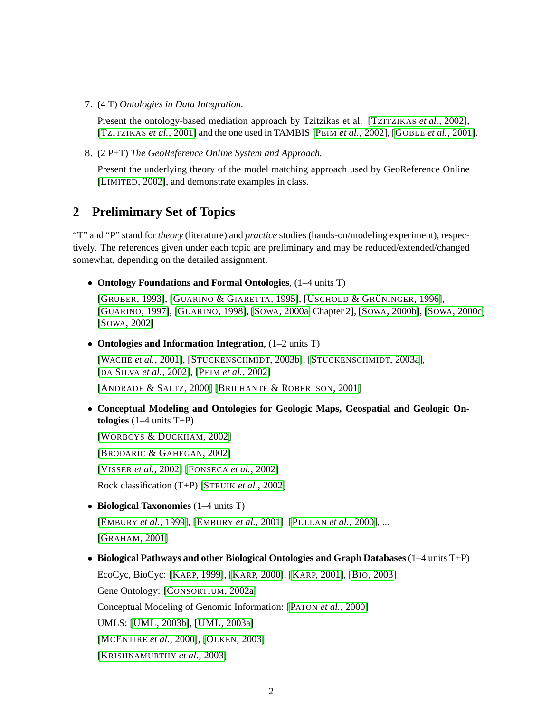7. (4 T) *Ontologies in Data Integration.*

Present the ontology-based mediation approach by Tzitzikas et al. [T[ZITZIKAS](#page-7-1) *et al.*, 2002], [T[ZITZIKAS](#page-7-2) *et al.*, 2001] and the one used in TAMBIS [PEIM *et al.*[, 2002\]](#page-6-5), [GOBLE *et al.*[, 2001\]](#page-4-4).

8. (2 P+T) *The GeoReference Online System and Approach.*

Present the underlying theory of the model matching approach used by GeoReference Online [LIMITED[, 2002\]](#page-5-6), and demonstrate examples in class.

## **2 Prelimimary Set of Topics**

"T" and "P" stand for *theory* (literature) and *practice* studies (hands-on/modeling experiment), respectively. The references given under each topic are preliminary and may be reduced/extended/changed somewhat, depending on the detailed assignment.

• **Ontology Foundations and Formal Ontologies**, (1–4 units T)

[GRUBER[, 1993\]](#page-4-5), [GUARINO & G[IARETTA](#page-4-6), 1995], [USCHOLD & GRÜNINGER, 1996], [G[UARINO](#page-4-7), 1997], [G[UARINO](#page-4-8), 1998], [SOWA[, 2000a,](#page-6-6) Chapter 2], [SOWA[, 2000b\]](#page-6-7), [SOWA[, 2000c\]](#page-6-8) [SOWA[, 2002\]](#page-6-9)

• **Ontologies and Information Integration**, (1–2 units T)

[WACHE *et al.*[, 2001\]](#page-7-4), [S[TUCKENSCHMIDT](#page-7-5), 2003b], [S[TUCKENSCHMIDT](#page-7-6), 2003a], [DA SILVA *et al.*[, 2002\]](#page-3-3), [PEIM *et al.*[, 2002\]](#page-6-5)

[A[NDRADE](#page-2-2) & SALTZ, 2000] [BRILHANTE & R[OBERTSON](#page-3-4), 2001]

• **Conceptual Modeling and Ontologies for Geologic Maps, Geospatial and Geologic Ontologies** (1–4 units T+P)

[WORBOYS & D[UCKHAM](#page-7-7), 2002]

[B[RODARIC](#page-3-5) & GAHEGAN, 2002]

[VISSER *et al.*[, 2002\]](#page-7-8) [F[ONSECA](#page-4-9) *et al.*, 2002]

Rock classification (T+P) [STRUIK *et al.*[, 2002\]](#page-6-3)

• **Biological Taxonomies** (1–4 units T)

[EMBURY *et al.*[, 1999\]](#page-3-0), [EMBURY *et al.*[, 2001\]](#page-3-1), [PULLAN *et al.*[, 2000\]](#page-6-1), ... [G[RAHAM](#page-4-10), 2001]

• **Biological Pathways and other Biological Ontologies and Graph Databases** (1–4 units T+P) EcoCyc, BioCyc: [KARP[, 1999\]](#page-4-11), [KARP[, 2000\]](#page-5-7), [KARP[, 2001\]](#page-5-8), [BIO[, 2003\]](#page-3-6) Gene Ontology: [C[ONSORTIUM](#page-3-7), 2002a] Conceptual Modeling of Genomic Information: [PATON *et al.*[, 2000\]](#page-6-10) UMLS: [\[UML, 2003b\]](#page-7-9), [\[UML, 2003a\]](#page-7-10) [MCENTIRE *et al.*[, 2000\]](#page-5-9), [OLKEN[, 2003\]](#page-5-10) [K[RISHNAMURTHY](#page-5-11) *et al.*, 2003]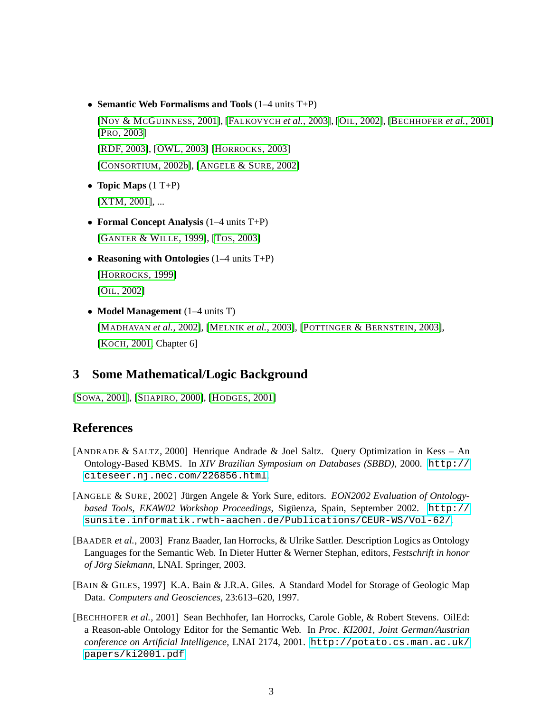- **Semantic Web Formalisms and Tools** (1–4 units T+P) [NOY & MCG[UINNESS](#page-5-5), 2001], [F[ALKOVYCH](#page-3-8) *et al.*, 2003], [OIL[, 2002\]](#page-5-3), [B[ECHHOFER](#page-2-1) *et al.*, 2001] [PRO[, 2003\]](#page-6-4) [\[RDF, 2003\]](#page-6-2), [\[OWL, 2003\]](#page-5-4) [H[ORROCKS](#page-4-1), 2003] [C[ONSORTIUM](#page-3-9), 2002b], [ANGELE & SURE[, 2002\]](#page-2-3)
- **Topic Maps** (1 T+P) [\[XTM, 2001\]](#page-7-11), ...
- **Formal Concept Analysis** (1–4 units T+P) [GANTER & WILLE[, 1999\]](#page-4-3), [TOS[, 2003\]](#page-7-0)
- **Reasoning with Ontologies** (1–4 units T+P) [H[ORROCKS](#page-4-0), 1999] [OIL[, 2002\]](#page-5-3)
- **Model Management** (1–4 units T) [M[ADHAVAN](#page-5-2) *et al.*, 2002], [MELNIK *et al.*[, 2003\]](#page-5-1), [P[OTTINGER](#page-6-0) & BERNSTEIN, 2003], [KOCH[, 2001,](#page-5-0) Chapter 6]

### **3 Some Mathematical/Logic Background**

```
[SOWA, 2001], [SHAPIRO, 2000], [HODGES, 2001]
```
### **References**

- <span id="page-2-2"></span>[ANDRADE & SALTZ, 2000] Henrique Andrade & Joel Saltz. Query Optimization in Kess – An Ontology-Based KBMS. In *XIV Brazilian Symposium on Databases (SBBD)*, 2000. [http://](http://citeseer.nj.nec.com/226856.html) [citeseer.nj.nec.com/226856.html](http://citeseer.nj.nec.com/226856.html).
- <span id="page-2-3"></span>[ANGELE & SURE, 2002] Jürgen Angele & York Sure, editors. *EON2002 Evaluation of Ontologybased Tools, EKAW02 Workshop Proceedings*, Siguenza, Spain, September 2002. ¨ [http://](http://sunsite.informatik.rwth-aachen.de/Publications/CEUR-WS/Vol-62/) [sunsite.informatik.rwth-aachen.de/Publications/CEUR-WS/Vol-62/](http://sunsite.informatik.rwth-aachen.de/Publications/CEUR-WS/Vol-62/).
- <span id="page-2-0"></span>[BAADER *et al.*, 2003] Franz Baader, Ian Horrocks, & Ulrike Sattler. Description Logics as Ontology Languages for the Semantic Web. In Dieter Hutter & Werner Stephan, editors, *Festschrift in honor of Jorg Siekmann ¨* , LNAI. Springer, 2003.
- [BAIN & GILES, 1997] K.A. Bain & J.R.A. Giles. A Standard Model for Storage of Geologic Map Data. *Computers and Geosciences*, 23:613–620, 1997.
- <span id="page-2-1"></span>[BECHHOFER *et al.*, 2001] Sean Bechhofer, Ian Horrocks, Carole Goble, & Robert Stevens. OilEd: a Reason-able Ontology Editor for the Semantic Web. In *Proc. KI2001, Joint German/Austrian conference on Artificial Intelligence*, LNAI 2174, 2001. [http://potato.cs.man.ac.uk/](http://potato.cs.man.ac.uk/papers/ki2001.pdf) [papers/ki2001.pdf](http://potato.cs.man.ac.uk/papers/ki2001.pdf).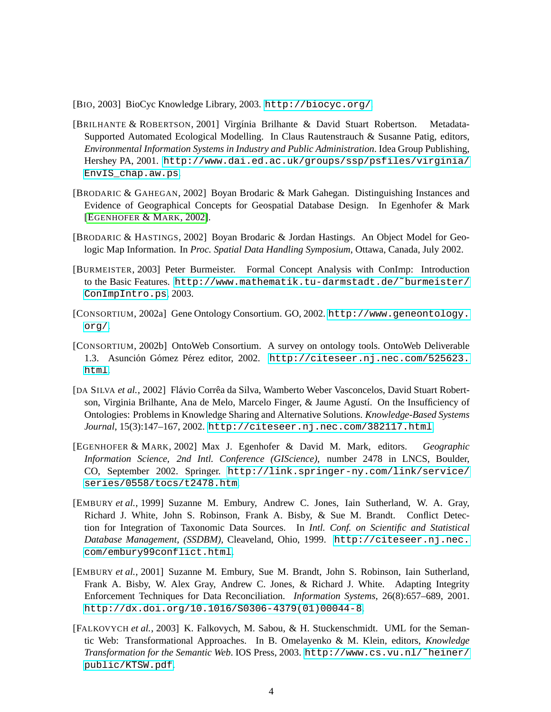<span id="page-3-6"></span>[BIO, 2003] BioCyc Knowledge Library, 2003. <http://biocyc.org/>.

- <span id="page-3-4"></span>[BRILHANTE & ROBERTSON, 2001] Virg´ınia Brilhante & David Stuart Robertson. Metadata-Supported Automated Ecological Modelling. In Claus Rautenstrauch & Susanne Patig, editors, *Environmental Information Systems in Industry and Public Administration*. Idea Group Publishing, Hershey PA, 2001. [http://www.dai.ed.ac.uk/groups/ssp/psfiles/virginia/](http://www.dai.ed.ac.uk/groups/ssp/psfiles/virginia/EnvIS_chap.aw.ps) [EnvIS\\_chap.aw.ps](http://www.dai.ed.ac.uk/groups/ssp/psfiles/virginia/EnvIS_chap.aw.ps).
- <span id="page-3-5"></span>[BRODARIC & GAHEGAN, 2002] Boyan Brodaric & Mark Gahegan. Distinguishing Instances and Evidence of Geographical Concepts for Geospatial Database Design. In Egenhofer & Mark [E[GENHOFER](#page-3-10) & MARK, 2002].
- [BRODARIC & HASTINGS, 2002] Boyan Brodaric & Jordan Hastings. An Object Model for Geologic Map Information. In *Proc. Spatial Data Handling Symposium*, Ottawa, Canada, July 2002.
- <span id="page-3-2"></span>[BURMEISTER, 2003] Peter Burmeister. Formal Concept Analysis with ConImp: Introduction to the Basic Features. [http://www.mathematik.tu-darmstadt.de/˜burmeister/](http://www.mathematik.tu-darmstadt.de/~burmeister/ConImpIntro.ps) [ConImpIntro.ps](http://www.mathematik.tu-darmstadt.de/~burmeister/ConImpIntro.ps), 2003.
- <span id="page-3-7"></span>[CONSORTIUM, 2002a] Gene Ontology Consortium. GO, 2002. [http://www.geneontology.](http://www.geneontology.org/) [org/](http://www.geneontology.org/).
- <span id="page-3-9"></span>[CONSORTIUM, 2002b] OntoWeb Consortium. A survey on ontology tools. OntoWeb Deliverable 1.3. Asunción Gómez Pérez editor, 2002. [http://citeseer.nj.nec.com/525623.](http://citeseer.nj.nec.com/525623.html) [html](http://citeseer.nj.nec.com/525623.html).
- <span id="page-3-3"></span>[DA SILVA *et al.*, 2002] Flávio Corrêa da Silva, Wamberto Weber Vasconcelos, David Stuart Robertson, Virginia Brilhante, Ana de Melo, Marcelo Finger, & Jaume Agustí. On the Insufficiency of Ontologies: Problems in Knowledge Sharing and Alternative Solutions. *Knowledge-Based Systems Journal*, 15(3):147–167, 2002. <http://citeseer.nj.nec.com/382117.html>.
- <span id="page-3-10"></span>[EGENHOFER & MARK, 2002] Max J. Egenhofer & David M. Mark, editors. *Geographic Information Science, 2nd Intl. Conference (GIScience)*, number 2478 in LNCS, Boulder, CO, September 2002. Springer. [http://link.springer-ny.com/link/service/](http://link.springer-ny.com/link/service/series/0558/tocs/t2478.htm) [series/0558/tocs/t2478.htm](http://link.springer-ny.com/link/service/series/0558/tocs/t2478.htm).
- <span id="page-3-0"></span>[EMBURY *et al.*, 1999] Suzanne M. Embury, Andrew C. Jones, Iain Sutherland, W. A. Gray, Richard J. White, John S. Robinson, Frank A. Bisby, & Sue M. Brandt. Conflict Detection for Integration of Taxonomic Data Sources. In *Intl. Conf. on Scientific and Statistical Database Management, (SSDBM)*, Cleaveland, Ohio, 1999. [http://citeseer.nj.nec.](http://citeseer.nj.nec.com/embury99conflict.html) [com/embury99conflict.html](http://citeseer.nj.nec.com/embury99conflict.html).
- <span id="page-3-1"></span>[EMBURY *et al.*, 2001] Suzanne M. Embury, Sue M. Brandt, John S. Robinson, Iain Sutherland, Frank A. Bisby, W. Alex Gray, Andrew C. Jones, & Richard J. White. Adapting Integrity Enforcement Techniques for Data Reconciliation. *Information Systems*, 26(8):657–689, 2001. [http://dx.doi.org/10.1016/S0306-4379\(01\)00044-8](http://dx.doi.org/10.1016/S0306-4379(01)00044-8).
- <span id="page-3-8"></span>[FALKOVYCH *et al.*, 2003] K. Falkovych, M. Sabou, & H. Stuckenschmidt. UML for the Semantic Web: Transformational Approaches. In B. Omelayenko & M. Klein, editors, *Knowledge Transformation for the Semantic Web*. IOS Press, 2003. [http://www.cs.vu.nl/˜heiner/](http://www.cs.vu.nl/~heiner/public/KTSW.pdf) [public/KTSW.pdf](http://www.cs.vu.nl/~heiner/public/KTSW.pdf).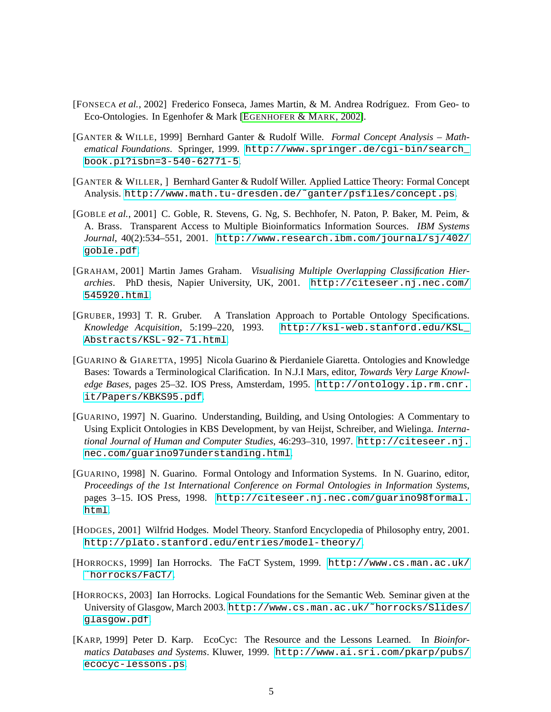- <span id="page-4-9"></span>[FONSECA *et al.*, 2002] Frederico Fonseca, James Martin, & M. Andrea Rodríguez. From Geo- to Eco-Ontologies. In Egenhofer & Mark [E[GENHOFER](#page-3-10) & MARK, 2002].
- <span id="page-4-3"></span>[GANTER & WILLE, 1999] Bernhard Ganter & Rudolf Wille. *Formal Concept Analysis – Mathematical Foundations*. Springer, 1999. [http://www.springer.de/cgi-bin/search\\_](http://www.springer.de/cgi-bin/search_book.pl?isbn=3-540-62771-5) [book.pl?isbn=3-540-62771-5](http://www.springer.de/cgi-bin/search_book.pl?isbn=3-540-62771-5).
- <span id="page-4-2"></span>[GANTER & WILLER, ] Bernhard Ganter & Rudolf Willer. Applied Lattice Theory: Formal Concept Analysis. [http://www.math.tu-dresden.de/˜ganter/psfiles/concept.ps](http://www.math.tu-dresden.de/~ganter/psfiles/concept.ps).
- <span id="page-4-4"></span>[GOBLE *et al.*, 2001] C. Goble, R. Stevens, G. Ng, S. Bechhofer, N. Paton, P. Baker, M. Peim, & A. Brass. Transparent Access to Multiple Bioinformatics Information Sources. *IBM Systems Journal*, 40(2):534–551, 2001. [http://www.research.ibm.com/journal/sj/402/](http://www.research.ibm.com/journal/sj/402/goble.pdf) [goble.pdf](http://www.research.ibm.com/journal/sj/402/goble.pdf).
- <span id="page-4-10"></span>[GRAHAM, 2001] Martin James Graham. *Visualising Multiple Overlapping Classification Hierarchies*. PhD thesis, Napier University, UK, 2001. [http://citeseer.nj.nec.com/](http://citeseer.nj.nec.com/545920.html) [545920.html](http://citeseer.nj.nec.com/545920.html).
- <span id="page-4-5"></span>[GRUBER, 1993] T. R. Gruber. A Translation Approach to Portable Ontology Specifications. *Knowledge Acquisition*, 5:199–220, 1993. [http://ksl-web.stanford.edu/KSL\\_](http://ksl-web.stanford.edu/KSL_Abstracts/KSL-92-71.html) [Abstracts/KSL-92-71.html](http://ksl-web.stanford.edu/KSL_Abstracts/KSL-92-71.html).
- <span id="page-4-6"></span>[GUARINO & GIARETTA, 1995] Nicola Guarino & Pierdaniele Giaretta. Ontologies and Knowledge Bases: Towards a Terminological Clarification. In N.J.I Mars, editor, *Towards Very Large Knowledge Bases*, pages 25–32. IOS Press, Amsterdam, 1995. [http://ontology.ip.rm.cnr.](http://ontology.ip.rm.cnr.it/Papers/KBKS95.pdf) [it/Papers/KBKS95.pdf](http://ontology.ip.rm.cnr.it/Papers/KBKS95.pdf).
- <span id="page-4-7"></span>[GUARINO, 1997] N. Guarino. Understanding, Building, and Using Ontologies: A Commentary to Using Explicit Ontologies in KBS Development, by van Heijst, Schreiber, and Wielinga. *International Journal of Human and Computer Studies*, 46:293–310, 1997. [http://citeseer.nj.](http://citeseer.nj.nec.com/guarino97understanding.html) [nec.com/guarino97understanding.html](http://citeseer.nj.nec.com/guarino97understanding.html).
- <span id="page-4-8"></span>[GUARINO, 1998] N. Guarino. Formal Ontology and Information Systems. In N. Guarino, editor, *Proceedings of the 1st International Conference on Formal Ontologies in Information Systems*, pages 3–15. IOS Press, 1998. [http://citeseer.nj.nec.com/guarino98formal.](http://citeseer.nj.nec.com/guarino98formal.html) [html](http://citeseer.nj.nec.com/guarino98formal.html).
- <span id="page-4-12"></span>[HODGES, 2001] Wilfrid Hodges. Model Theory. Stanford Encyclopedia of Philosophy entry, 2001. <http://plato.stanford.edu/entries/model-theory/>.
- <span id="page-4-0"></span>[HORROCKS, 1999] Ian Horrocks. The FaCT System, 1999. [http://www.cs.man.ac.uk/](http://www.cs.man.ac.uk/~horrocks/FaCT/) [˜horrocks/FaCT/](http://www.cs.man.ac.uk/~horrocks/FaCT/).
- <span id="page-4-1"></span>[HORROCKS, 2003] Ian Horrocks. Logical Foundations for the Semantic Web. Seminar given at the University of Glasgow, March 2003. [http://www.cs.man.ac.uk/˜horrocks/Slides/](http://www.cs.man.ac.uk/~horrocks/Slides/glasgow.pdf) [glasgow.pdf](http://www.cs.man.ac.uk/~horrocks/Slides/glasgow.pdf).
- <span id="page-4-11"></span>[KARP, 1999] Peter D. Karp. EcoCyc: The Resource and the Lessons Learned. In *Bioinformatics Databases and Systems*. Kluwer, 1999. [http://www.ai.sri.com/pkarp/pubs/](http://www.ai.sri.com/pkarp/pubs/ecocyc-lessons.ps) [ecocyc-lessons.ps](http://www.ai.sri.com/pkarp/pubs/ecocyc-lessons.ps).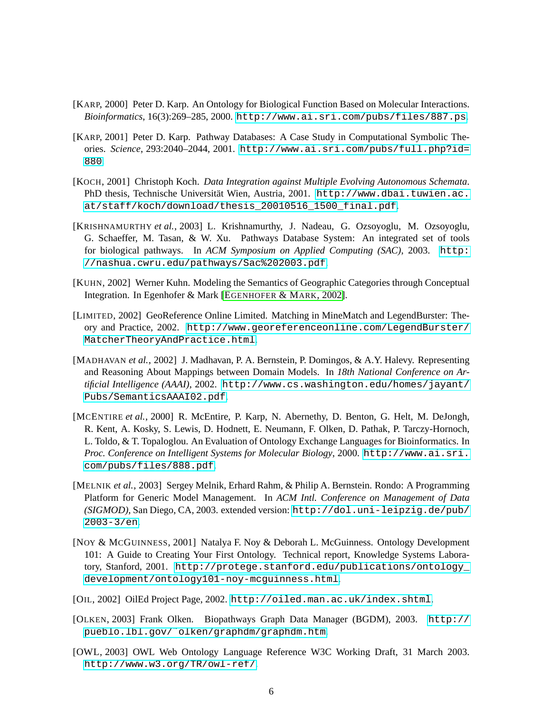- <span id="page-5-7"></span>[KARP, 2000] Peter D. Karp. An Ontology for Biological Function Based on Molecular Interactions. *Bioinformatics*, 16(3):269–285, 2000. <http://www.ai.sri.com/pubs/files/887.ps>.
- <span id="page-5-8"></span>[KARP, 2001] Peter D. Karp. Pathway Databases: A Case Study in Computational Symbolic Theories. *Science*, 293:2040–2044, 2001. [http://www.ai.sri.com/pubs/full.php?id=](http://www.ai.sri.com/pubs/full.php?id=880) [880](http://www.ai.sri.com/pubs/full.php?id=880).
- <span id="page-5-0"></span>[KOCH, 2001] Christoph Koch. *Data Integration against Multiple Evolving Autonomous Schemata*. PhD thesis, Technische Universität Wien, Austria, 2001. [http://www.dbai.tuwien.ac.](http://www.dbai.tuwien.ac.at/staff/koch/download/thesis_20010516_1500_final.pdf) [at/staff/koch/download/thesis\\_20010516\\_1500\\_final.pdf](http://www.dbai.tuwien.ac.at/staff/koch/download/thesis_20010516_1500_final.pdf).
- <span id="page-5-11"></span>[KRISHNAMURTHY *et al.*, 2003] L. Krishnamurthy, J. Nadeau, G. Ozsoyoglu, M. Ozsoyoglu, G. Schaeffer, M. Tasan, & W. Xu. Pathways Database System: An integrated set of tools for biological pathways. In *ACM Symposium on Applied Computing (SAC)*, 2003. [http:](http://nashua.cwru.edu/pathways/Sac%202003.pdf) [//nashua.cwru.edu/pathways/Sac%202003.pdf](http://nashua.cwru.edu/pathways/Sac%202003.pdf).
- [KUHN, 2002] Werner Kuhn. Modeling the Semantics of Geographic Categories through Conceptual Integration. In Egenhofer & Mark [E[GENHOFER](#page-3-10) & MARK, 2002].
- <span id="page-5-6"></span>[LIMITED, 2002] GeoReference Online Limited. Matching in MineMatch and LegendBurster: Theory and Practice, 2002. [http://www.georeferenceonline.com/LegendBurster/](http://www.georeferenceonline.com/LegendBurster/MatcherTheoryAndPractice.html) [MatcherTheoryAndPractice.html](http://www.georeferenceonline.com/LegendBurster/MatcherTheoryAndPractice.html).
- <span id="page-5-2"></span>[MADHAVAN *et al.*, 2002] J. Madhavan, P. A. Bernstein, P. Domingos, & A.Y. Halevy. Representing and Reasoning About Mappings between Domain Models. In *18th National Conference on Artificial Intelligence (AAAI)*, 2002. [http://www.cs.washington.edu/homes/jayant/](http://www.cs.washington.edu/homes/jayant/Pubs/SemanticsAAAI02.pdf) [Pubs/SemanticsAAAI02.pdf](http://www.cs.washington.edu/homes/jayant/Pubs/SemanticsAAAI02.pdf).
- <span id="page-5-9"></span>[MCENTIRE *et al.*, 2000] R. McEntire, P. Karp, N. Abernethy, D. Benton, G. Helt, M. DeJongh, R. Kent, A. Kosky, S. Lewis, D. Hodnett, E. Neumann, F. Olken, D. Pathak, P. Tarczy-Hornoch, L. Toldo, & T. Topaloglou. An Evaluation of Ontology Exchange Languages for Bioinformatics. In *Proc. Conference on Intelligent Systems for Molecular Biology*, 2000. [http://www.ai.sri.](http://www.ai.sri.com/pubs/files/888.pdf) [com/pubs/files/888.pdf](http://www.ai.sri.com/pubs/files/888.pdf).
- <span id="page-5-1"></span>[MELNIK *et al.*, 2003] Sergey Melnik, Erhard Rahm, & Philip A. Bernstein. Rondo: A Programming Platform for Generic Model Management. In *ACM Intl. Conference on Management of Data (SIGMOD)*, San Diego, CA, 2003. extended version: [http://dol.uni-leipzig.de/pub/](http://dol.uni-leipzig.de/pub/2003-3/en) [2003-3/en](http://dol.uni-leipzig.de/pub/2003-3/en).
- <span id="page-5-5"></span>[NOY & MCGUINNESS, 2001] Natalya F. Noy & Deborah L. McGuinness. Ontology Development 101: A Guide to Creating Your First Ontology. Technical report, Knowledge Systems Laboratory, Stanford, 2001. [http://protege.stanford.edu/publications/ontology\\_](http://protege.stanford.edu/publications/ontology_development/ontology101-noy-mcguinness.html) [development/ontology101-noy-mcguinness.html](http://protege.stanford.edu/publications/ontology_development/ontology101-noy-mcguinness.html).
- <span id="page-5-3"></span>[OIL, 2002] OilEd Project Page, 2002. <http://oiled.man.ac.uk/index.shtml>.
- <span id="page-5-10"></span>[OLKEN, 2003] Frank Olken. Biopathways Graph Data Manager (BGDM), 2003. [http://](http://pueblo.lbl.gov/~olken/graphdm/graphdm.htm) [pueblo.lbl.gov/˜olken/graphdm/graphdm.htm](http://pueblo.lbl.gov/~olken/graphdm/graphdm.htm).
- <span id="page-5-4"></span>[OWL, 2003] OWL Web Ontology Language Reference W3C Working Draft, 31 March 2003. <http://www.w3.org/TR/owl-ref/>.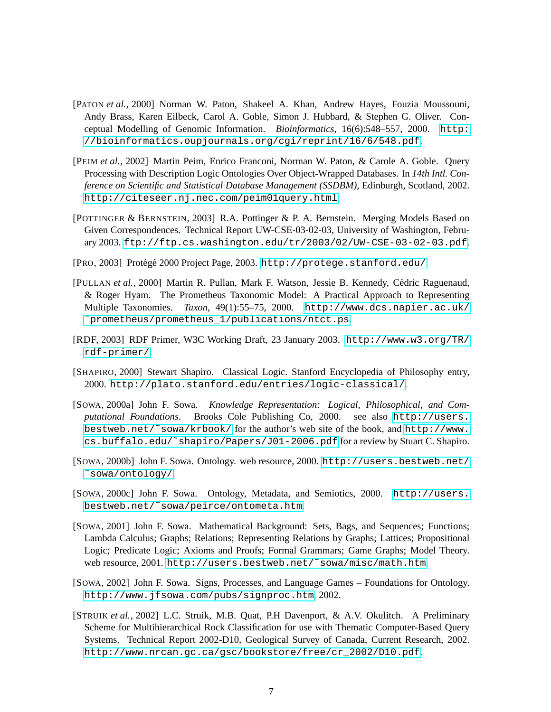- <span id="page-6-10"></span>[PATON *et al.*, 2000] Norman W. Paton, Shakeel A. Khan, Andrew Hayes, Fouzia Moussouni, Andy Brass, Karen Eilbeck, Carol A. Goble, Simon J. Hubbard, & Stephen G. Oliver. Conceptual Modelling of Genomic Information. *Bioinformatics*, 16(6):548–557, 2000. [http:](http://bioinformatics.oupjournals.org/cgi/reprint/16/6/548.pdf) [//bioinformatics.oupjournals.org/cgi/reprint/16/6/548.pdf](http://bioinformatics.oupjournals.org/cgi/reprint/16/6/548.pdf).
- <span id="page-6-5"></span>[PEIM *et al.*, 2002] Martin Peim, Enrico Franconi, Norman W. Paton, & Carole A. Goble. Query Processing with Description Logic Ontologies Over Object-Wrapped Databases. In *14th Intl. Conference on Scientific and Statistical Database Management (SSDBM)*, Edinburgh, Scotland, 2002. <http://citeseer.nj.nec.com/peim01query.html>.
- <span id="page-6-0"></span>[POTTINGER & BERNSTEIN, 2003] R.A. Pottinger & P. A. Bernstein. Merging Models Based on Given Correspondences. Technical Report UW-CSE-03-02-03, University of Washington, February 2003. <ftp://ftp.cs.washington.edu/tr/2003/02/UW-CSE-03-02-03.pdf>.
- <span id="page-6-4"></span>[PRO, 2003] Protégé 2000 Project Page, 2003. <http://protege.stanford.edu/>.
- <span id="page-6-1"></span>[PULLAN *et al.*, 2000] Martin R. Pullan, Mark F. Watson, Jessie B. Kennedy, Cedric Raguenaud, ´ & Roger Hyam. The Prometheus Taxonomic Model: A Practical Approach to Representing Multiple Taxonomies. *Taxon*, 49(1):55–75, 2000. [http://www.dcs.napier.ac.uk/](http://www.dcs.napier.ac.uk/~prometheus/prometheus_1/publications/ntct.ps) [˜prometheus/prometheus\\_1/publications/ntct.ps](http://www.dcs.napier.ac.uk/~prometheus/prometheus_1/publications/ntct.ps).
- <span id="page-6-2"></span>[RDF, 2003] RDF Primer, W3C Working Draft, 23 January 2003. [http://www.w3.org/TR/](http://www.w3.org/TR/rdf-primer/) [rdf-primer/](http://www.w3.org/TR/rdf-primer/).
- <span id="page-6-12"></span>[SHAPIRO, 2000] Stewart Shapiro. Classical Logic. Stanford Encyclopedia of Philosophy entry, 2000. <http://plato.stanford.edu/entries/logic-classical/>.
- <span id="page-6-6"></span>[SOWA, 2000a] John F. Sowa. *Knowledge Representation: Logical, Philosophical, and Computational Foundations*. Brooks Cole Publishing Co, 2000. see also [http://users.](http://users.bestweb.net/~sowa/krbook/) [bestweb.net/˜sowa/krbook/](http://users.bestweb.net/~sowa/krbook/) for the author's web site of the book, and [http://www.](http://www.cs.buffalo.edu/~shapiro/Papers/J01-2006.pdf) [cs.buffalo.edu/˜shapiro/Papers/J01-2006.pdf](http://www.cs.buffalo.edu/~shapiro/Papers/J01-2006.pdf) for a review by Stuart C. Shapiro.
- <span id="page-6-7"></span>[SOWA, 2000b] John F. Sowa. Ontology. web resource, 2000. [http://users.bestweb.net/](http://users.bestweb.net/~sowa/ontology/) [˜sowa/ontology/](http://users.bestweb.net/~sowa/ontology/).
- <span id="page-6-8"></span>[SOWA, 2000c] John F. Sowa. Ontology, Metadata, and Semiotics, 2000. [http://users.](http://users.bestweb.net/~sowa/peirce/ontometa.htm) [bestweb.net/˜sowa/peirce/ontometa.htm](http://users.bestweb.net/~sowa/peirce/ontometa.htm).
- <span id="page-6-11"></span>[SOWA, 2001] John F. Sowa. Mathematical Background: Sets, Bags, and Sequences; Functions; Lambda Calculus; Graphs; Relations; Representing Relations by Graphs; Lattices; Propositional Logic; Predicate Logic; Axioms and Proofs; Formal Grammars; Game Graphs; Model Theory. web resource, 2001. [http://users.bestweb.net/˜sowa/misc/math.htm](http://users.bestweb.net/~sowa/misc/math.htm).
- <span id="page-6-9"></span>[SOWA, 2002] John F. Sowa. Signs, Processes, and Language Games – Foundations for Ontology. <http://www.jfsowa.com/pubs/signproc.htm>, 2002.
- <span id="page-6-3"></span>[STRUIK *et al.*, 2002] L.C. Struik, M.B. Quat, P.H Davenport, & A.V. Okulitch. A Preliminary Scheme for Multihierarchical Rock Classification for use with Thematic Computer-Based Query Systems. Technical Report 2002-D10, Geological Survey of Canada, Current Research, 2002. [http://www.nrcan.gc.ca/gsc/bookstore/free/cr\\_2002/D10.pdf](http://www.nrcan.gc.ca/gsc/bookstore/free/cr_2002/D10.pdf).